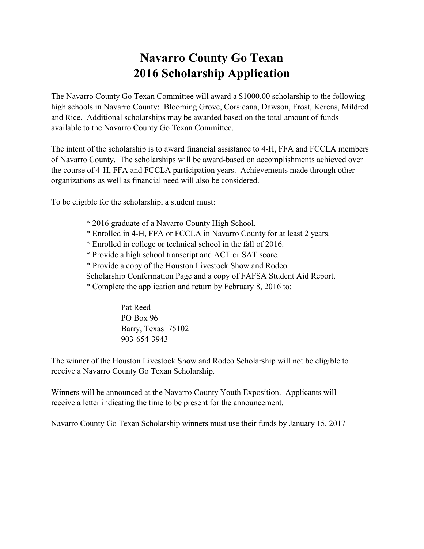### **Navarro County Go Texan 2016 Scholarship Application**

The Navarro County Go Texan Committee will award a \$1000.00 scholarship to the following high schools in Navarro County: Blooming Grove, Corsicana, Dawson, Frost, Kerens, Mildred and Rice. Additional scholarships may be awarded based on the total amount of funds available to the Navarro County Go Texan Committee.

The intent of the scholarship is to award financial assistance to 4-H, FFA and FCCLA members of Navarro County. The scholarships will be award-based on accomplishments achieved over the course of 4-H, FFA and FCCLA participation years. Achievements made through other organizations as well as financial need will also be considered.

To be eligible for the scholarship, a student must:

- \* 2016 graduate of a Navarro County High School.
- \* Enrolled in 4-H, FFA or FCCLA in Navarro County for at least 2 years.
- \* Enrolled in college or technical school in the fall of 2016.
- \* Provide a high school transcript and ACT or SAT score.
- \* Provide a copy of the Houston Livestock Show and Rodeo
- Scholarship Confermation Page and a copy of FAFSA Student Aid Report.
- \* Complete the application and return by February 8, 2016 to:

Pat Reed PO Box 96 Barry, Texas 75102 903-654-3943

The winner of the Houston Livestock Show and Rodeo Scholarship will not be eligible to receive a Navarro County Go Texan Scholarship.

Winners will be announced at the Navarro County Youth Exposition. Applicants will receive a letter indicating the time to be present for the announcement.

Navarro County Go Texan Scholarship winners must use their funds by January 15, 2017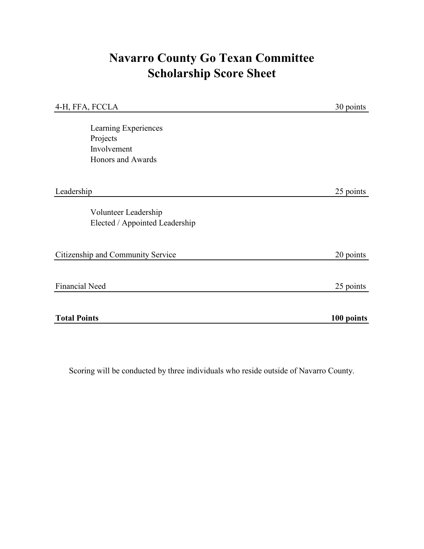## **Navarro County Go Texan Committee Scholarship Score Sheet**

| 4-H, FFA, FCCLA                                                      | 30 points  |
|----------------------------------------------------------------------|------------|
| Learning Experiences<br>Projects<br>Involvement<br>Honors and Awards |            |
| Leadership                                                           | 25 points  |
| Volunteer Leadership<br>Elected / Appointed Leadership               |            |
| Citizenship and Community Service                                    | 20 points  |
| <b>Financial Need</b>                                                | 25 points  |
| <b>Total Points</b>                                                  | 100 points |

Scoring will be conducted by three individuals who reside outside of Navarro County.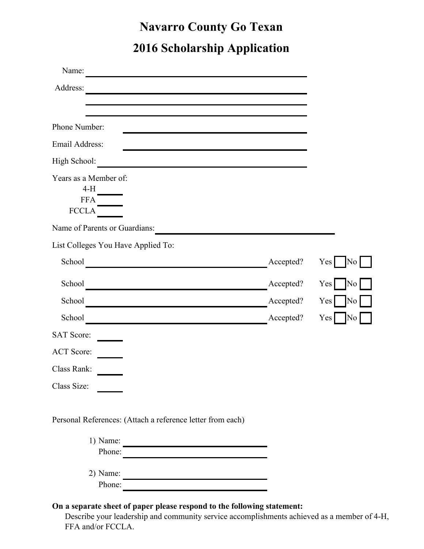## **Navarro County Go Texan 2016 Scholarship Application**

| Name:                                                                      |           |                        |
|----------------------------------------------------------------------------|-----------|------------------------|
| Address:                                                                   |           |                        |
|                                                                            |           |                        |
| Phone Number:                                                              |           |                        |
| Email Address:                                                             |           |                        |
| High School:<br><u> 1989 - Johann Barbara, martin amerikan personal (</u>  |           |                        |
| Years as a Member of:<br>$4-H$                                             |           |                        |
| <b>FFA</b><br><b>FCCLA</b>                                                 |           |                        |
| Name of Parents or Guardians:                                              |           |                        |
| List Colleges You Have Applied To:                                         |           |                        |
| School                                                                     | Accepted? | Yes<br>No              |
| School<br><u> 1989 - Johann Barbara, martxa alemaniar arg</u>              | Accepted? | Yes <sup>1</sup><br>No |
| School<br><u> 1989 - Johann Barbara, martxa eta politikaria (h. 1989).</u> | Accepted? | Yes<br>No              |
| School                                                                     | Accepted? | Yes<br>No              |
| <b>SAT Score:</b>                                                          |           |                        |
| <b>ACT Score:</b>                                                          |           |                        |
| Class Rank:                                                                |           |                        |
| Class Size:                                                                |           |                        |
| Personal References: (Attach a reference letter from each)                 |           |                        |
| 1) Name:                                                                   |           |                        |

| Phone:     |  |
|------------|--|
|            |  |
| $2)$ Name: |  |
| Phone:     |  |

#### **On a separate sheet of paper please respond to the following statement:**

Describe your leadership and community service accomplishments achieved as a member of 4-H, FFA and/or FCCLA.